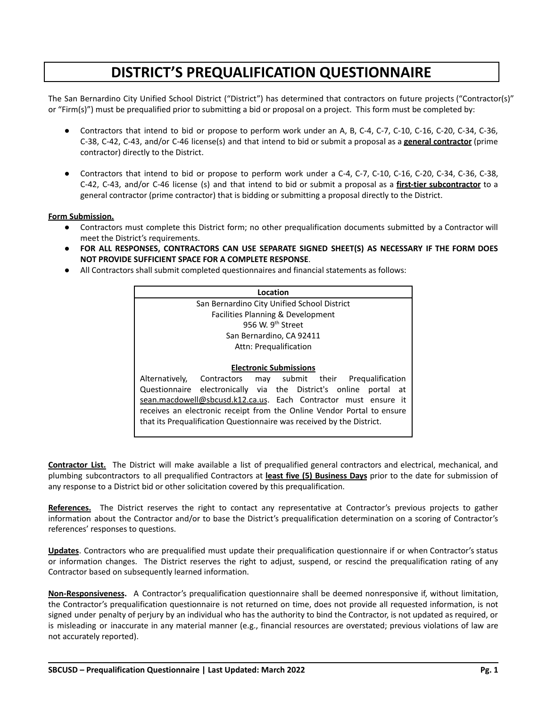# **DISTRICT'S PREQUALIFICATION QUESTIONNAIRE**

The San Bernardino City Unified School District ("District") has determined that contractors on future projects ("Contractor(s)" or "Firm(s)") must be prequalified prior to submitting a bid or proposal on a project. This form must be completed by:

- Contractors that intend to bid or propose to perform work under an A, B, C-4, C-7, C-10, C-16, C-20, C-34, C-36, C-38, C-42, C-43, and/or C-46 license(s) and that intend to bid or submit a proposal as a **general contractor** (prime contractor) directly to the District.
- Contractors that intend to bid or propose to perform work under a C-4, C-7, C-10, C-16, C-20, C-34, C-36, C-38, C-42, C-43, and/or C-46 license (s) and that intend to bid or submit a proposal as a **first-tier subcontractor** to a general contractor (prime contractor) that is bidding or submitting a proposal directly to the District.

### **Form Submission.**

- Contractors must complete this District form; no other prequalification documents submitted by a Contractor will meet the District's requirements.
- **FOR ALL RESPONSES, CONTRACTORS CAN USE SEPARATE SIGNED SHEET(S) AS NECESSARY IF THE FORM DOES NOT PROVIDE SUFFICIENT SPACE FOR A COMPLETE RESPONSE**.
- All Contractors shall submit completed questionnaires and financial statements as follows:

| Location                                                               |                                             |  |  |  |  |                                   |      |
|------------------------------------------------------------------------|---------------------------------------------|--|--|--|--|-----------------------------------|------|
|                                                                        | San Bernardino City Unified School District |  |  |  |  |                                   |      |
|                                                                        | Facilities Planning & Development           |  |  |  |  |                                   |      |
| 956 W. 9 <sup>th</sup> Street                                          |                                             |  |  |  |  |                                   |      |
|                                                                        | San Bernardino, CA 92411                    |  |  |  |  |                                   |      |
| Attn: Prequalification                                                 |                                             |  |  |  |  |                                   |      |
|                                                                        |                                             |  |  |  |  |                                   |      |
|                                                                        | <b>Electronic Submissions</b>               |  |  |  |  |                                   |      |
| Alternatively, Contractors                                             |                                             |  |  |  |  | may submit their Pregualification |      |
| Questionnaire electronically via the District's online                 |                                             |  |  |  |  | portal                            | - at |
| sean.macdowell@sbcusd.k12.ca.us. Each Contractor must ensure it        |                                             |  |  |  |  |                                   |      |
| receives an electronic receipt from the Online Vendor Portal to ensure |                                             |  |  |  |  |                                   |      |
| that its Prequalification Questionnaire was received by the District.  |                                             |  |  |  |  |                                   |      |

**Contractor List.** The District will make available a list of prequalified general contractors and electrical, mechanical, and plumbing subcontractors to all prequalified Contractors at **least five (5) Business Days** prior to the date for submission of any response to a District bid or other solicitation covered by this prequalification.

**References.** The District reserves the right to contact any representative at Contractor's previous projects to gather information about the Contractor and/or to base the District's prequalification determination on a scoring of Contractor's references' responses to questions.

**Updates**. Contractors who are prequalified must update their prequalification questionnaire if or when Contractor's status or information changes. The District reserves the right to adjust, suspend, or rescind the prequalification rating of any Contractor based on subsequently learned information.

**Non-Responsiveness.** A Contractor's prequalification questionnaire shall be deemed nonresponsive if, without limitation, the Contractor's prequalification questionnaire is not returned on time, does not provide all requested information, is not signed under penalty of perjury by an individual who has the authority to bind the Contractor, is not updated as required, or is misleading or inaccurate in any material manner (e.g., financial resources are overstated; previous violations of law are not accurately reported).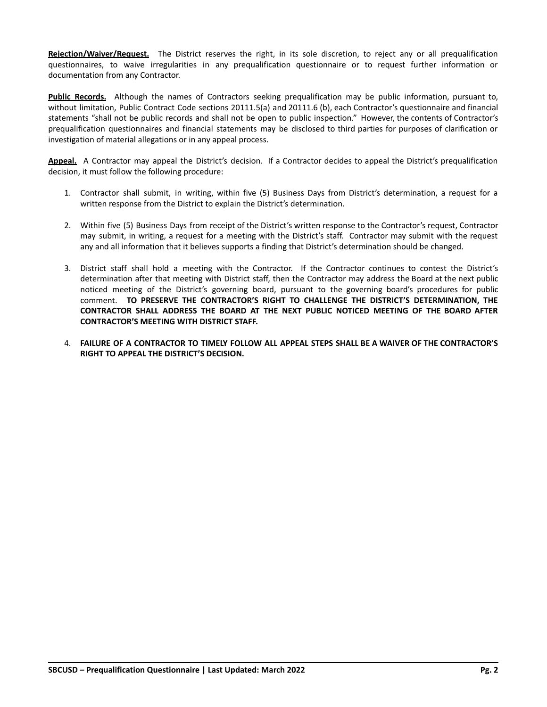**Rejection/Waiver/Request.** The District reserves the right, in its sole discretion, to reject any or all prequalification questionnaires, to waive irregularities in any prequalification questionnaire or to request further information or documentation from any Contractor.

**Public Records.** Although the names of Contractors seeking prequalification may be public information, pursuant to, without limitation, Public Contract Code sections 20111.5(a) and 20111.6 (b), each Contractor's questionnaire and financial statements "shall not be public records and shall not be open to public inspection." However, the contents of Contractor's prequalification questionnaires and financial statements may be disclosed to third parties for purposes of clarification or investigation of material allegations or in any appeal process.

**Appeal.** A Contractor may appeal the District's decision. If a Contractor decides to appeal the District's prequalification decision, it must follow the following procedure:

- 1. Contractor shall submit, in writing, within five (5) Business Days from District's determination, a request for a written response from the District to explain the District's determination.
- 2. Within five (5) Business Days from receipt of the District's written response to the Contractor's request, Contractor may submit, in writing, a request for a meeting with the District's staff. Contractor may submit with the request any and all information that it believes supports a finding that District's determination should be changed.
- 3. District staff shall hold a meeting with the Contractor. If the Contractor continues to contest the District's determination after that meeting with District staff, then the Contractor may address the Board at the next public noticed meeting of the District's governing board, pursuant to the governing board's procedures for public comment. **TO PRESERVE THE CONTRACTOR'S RIGHT TO CHALLENGE THE DISTRICT'S DETERMINATION, THE CONTRACTOR SHALL ADDRESS THE BOARD AT THE NEXT PUBLIC NOTICED MEETING OF THE BOARD AFTER CONTRACTOR'S MEETING WITH DISTRICT STAFF.**
- 4. **FAILURE OF A CONTRACTOR TO TIMELY FOLLOW ALL APPEAL STEPS SHALL BE A WAIVER OF THE CONTRACTOR'S RIGHT TO APPEAL THE DISTRICT'S DECISION.**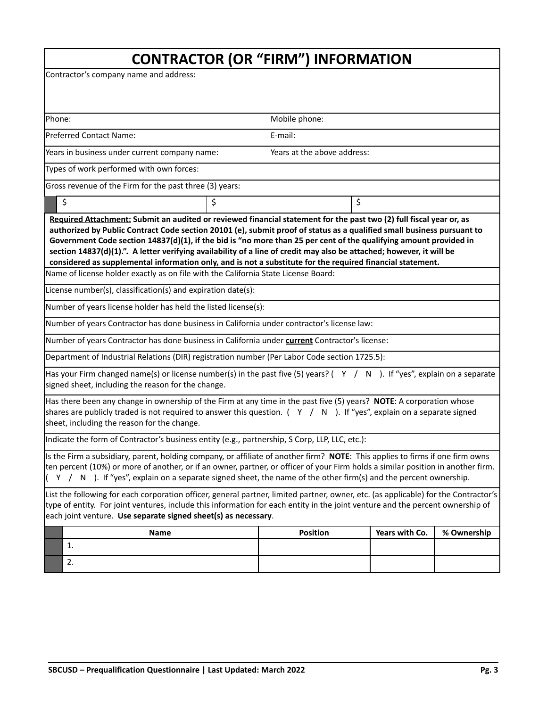Contractor's company name and address:

| Phone:<br>Mobile phone:                                                                                                                                                                                                                                                                                                                                                                                                                                                                                                                                                                                  |                                                  |                             |  |  |  |
|----------------------------------------------------------------------------------------------------------------------------------------------------------------------------------------------------------------------------------------------------------------------------------------------------------------------------------------------------------------------------------------------------------------------------------------------------------------------------------------------------------------------------------------------------------------------------------------------------------|--------------------------------------------------|-----------------------------|--|--|--|
| <b>Preferred Contact Name:</b><br>E-mail:                                                                                                                                                                                                                                                                                                                                                                                                                                                                                                                                                                |                                                  |                             |  |  |  |
| Years in business under current company name:                                                                                                                                                                                                                                                                                                                                                                                                                                                                                                                                                            |                                                  | Years at the above address: |  |  |  |
| Types of work performed with own forces:                                                                                                                                                                                                                                                                                                                                                                                                                                                                                                                                                                 |                                                  |                             |  |  |  |
| Gross revenue of the Firm for the past three (3) years:                                                                                                                                                                                                                                                                                                                                                                                                                                                                                                                                                  |                                                  |                             |  |  |  |
| \$                                                                                                                                                                                                                                                                                                                                                                                                                                                                                                                                                                                                       | \$                                               | \$                          |  |  |  |
| Required Attachment: Submit an audited or reviewed financial statement for the past two (2) full fiscal year or, as<br>authorized by Public Contract Code section 20101 (e), submit proof of status as a qualified small business pursuant to<br>Government Code section 14837(d)(1), if the bid is "no more than 25 per cent of the qualifying amount provided in<br>section 14837(d)(1).". A letter verifying availability of a line of credit may also be attached; however, it will be<br>considered as supplemental information only, and is not a substitute for the required financial statement. |                                                  |                             |  |  |  |
| Name of license holder exactly as on file with the California State License Board:                                                                                                                                                                                                                                                                                                                                                                                                                                                                                                                       |                                                  |                             |  |  |  |
| License number(s), classification(s) and expiration date(s):                                                                                                                                                                                                                                                                                                                                                                                                                                                                                                                                             |                                                  |                             |  |  |  |
| Number of years license holder has held the listed license(s):                                                                                                                                                                                                                                                                                                                                                                                                                                                                                                                                           |                                                  |                             |  |  |  |
| Number of years Contractor has done business in California under contractor's license law:                                                                                                                                                                                                                                                                                                                                                                                                                                                                                                               |                                                  |                             |  |  |  |
| Number of years Contractor has done business in California under current Contractor's license:                                                                                                                                                                                                                                                                                                                                                                                                                                                                                                           |                                                  |                             |  |  |  |
| Department of Industrial Relations (DIR) registration number (Per Labor Code section 1725.5):                                                                                                                                                                                                                                                                                                                                                                                                                                                                                                            |                                                  |                             |  |  |  |
| Has your Firm changed name(s) or license number(s) in the past five (5) years? ( $\gamma$ / N). If "yes", explain on a separate<br>signed sheet, including the reason for the change.                                                                                                                                                                                                                                                                                                                                                                                                                    |                                                  |                             |  |  |  |
| Has there been any change in ownership of the Firm at any time in the past five (5) years? NOTE: A corporation whose<br>shares are publicly traded is not required to answer this question. $( Y / N )$ . If "yes", explain on a separate signed<br>sheet, including the reason for the change.                                                                                                                                                                                                                                                                                                          |                                                  |                             |  |  |  |
| Indicate the form of Contractor's business entity (e.g., partnership, S Corp, LLP, LLC, etc.):                                                                                                                                                                                                                                                                                                                                                                                                                                                                                                           |                                                  |                             |  |  |  |
| Is the Firm a subsidiary, parent, holding company, or affiliate of another firm? NOTE: This applies to firms if one firm owns<br>ten percent (10%) or more of another, or if an owner, partner, or officer of your Firm holds a similar position in another firm.<br>$($ Y / N ). If "yes", explain on a separate signed sheet, the name of the other firm(s) and the percent ownership.                                                                                                                                                                                                                 |                                                  |                             |  |  |  |
| List the following for each corporation officer, general partner, limited partner, owner, etc. (as applicable) for the Contractor's<br>type of entity. For joint ventures, include this information for each entity in the joint venture and the percent ownership of<br>each joint venture. Use separate signed sheet(s) as necessary.                                                                                                                                                                                                                                                                  |                                                  |                             |  |  |  |
| <b>Name</b>                                                                                                                                                                                                                                                                                                                                                                                                                                                                                                                                                                                              | <b>Position</b><br>Years with Co.<br>% Ownership |                             |  |  |  |
| 1.                                                                                                                                                                                                                                                                                                                                                                                                                                                                                                                                                                                                       |                                                  |                             |  |  |  |
| 2.                                                                                                                                                                                                                                                                                                                                                                                                                                                                                                                                                                                                       |                                                  |                             |  |  |  |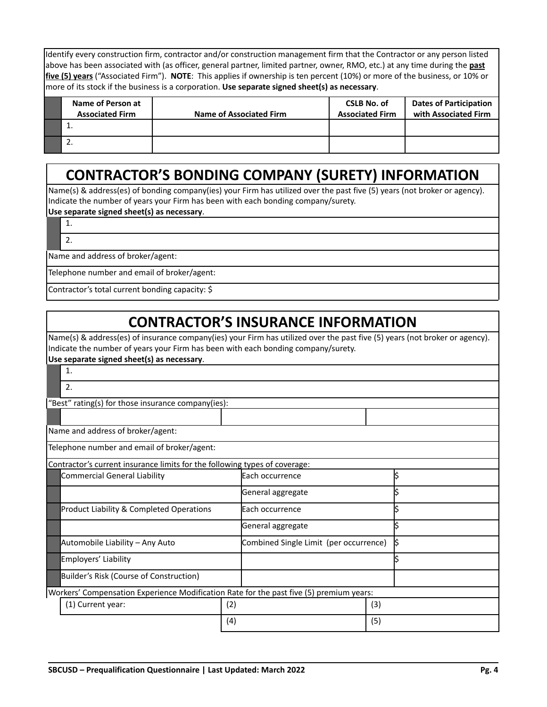Identify every construction firm, contractor and/or construction management firm that the Contractor or any person listed above has been associated with (as officer, general partner, limited partner, owner, RMO, etc.) at any time during the **past five (5) years** ("Associated Firm"). **NOTE**: This applies if ownership is ten percent (10%) or more of the business, or 10% or more of its stock if the business is a corporation. **Use separate signed sheet(s) as necessary**.

| Name of Person at<br><b>Associated Firm</b> | <b>Name of Associated Firm</b> | <b>CSLB No. of</b><br><b>Associated Firm</b> | <b>Dates of Participation</b><br>with Associated Firm |
|---------------------------------------------|--------------------------------|----------------------------------------------|-------------------------------------------------------|
|                                             |                                |                                              |                                                       |
| <u>. . </u>                                 |                                |                                              |                                                       |

# **CONTRACTOR'S BONDING COMPANY (SURETY) INFORMATION**

Name(s) & address(es) of bonding company(ies) your Firm has utilized over the past five (5) years (not broker or agency). Indicate the number of years your Firm has been with each bonding company/surety.

### **Use separate signed sheet(s) as necessary**.

1. 2.

Name and address of broker/agent:

Telephone number and email of broker/agent:

Contractor's total current bonding capacity: \$

# **CONTRACTOR'S INSURANCE INFORMATION**

Name(s) & address(es) of insurance company(ies) your Firm has utilized over the past five (5) years (not broker or agency). Indicate the number of years your Firm has been with each bonding company/surety.

#### **Use separate signed sheet(s) as necessary**.

| 1.                                                                                      |     |                                        |     |   |
|-----------------------------------------------------------------------------------------|-----|----------------------------------------|-----|---|
| 2.                                                                                      |     |                                        |     |   |
| "Best" rating(s) for those insurance company(ies):                                      |     |                                        |     |   |
|                                                                                         |     |                                        |     |   |
| Name and address of broker/agent:                                                       |     |                                        |     |   |
| Telephone number and email of broker/agent:                                             |     |                                        |     |   |
| Contractor's current insurance limits for the following types of coverage:              |     |                                        |     |   |
| <b>Commercial General Liability</b>                                                     |     | Each occurrence                        |     |   |
|                                                                                         |     | General aggregate                      |     |   |
| <b>Product Liability &amp; Completed Operations</b>                                     |     | Each occurrence                        |     |   |
|                                                                                         |     | General aggregate                      |     |   |
| Automobile Liability - Any Auto                                                         |     | Combined Single Limit (per occurrence) |     | ß |
| Employers' Liability                                                                    |     |                                        |     |   |
| Builder's Risk (Course of Construction)                                                 |     |                                        |     |   |
| Workers' Compensation Experience Modification Rate for the past five (5) premium years: |     |                                        |     |   |
| (1) Current year:                                                                       | (2) |                                        | (3) |   |
|                                                                                         | (4) |                                        | (5) |   |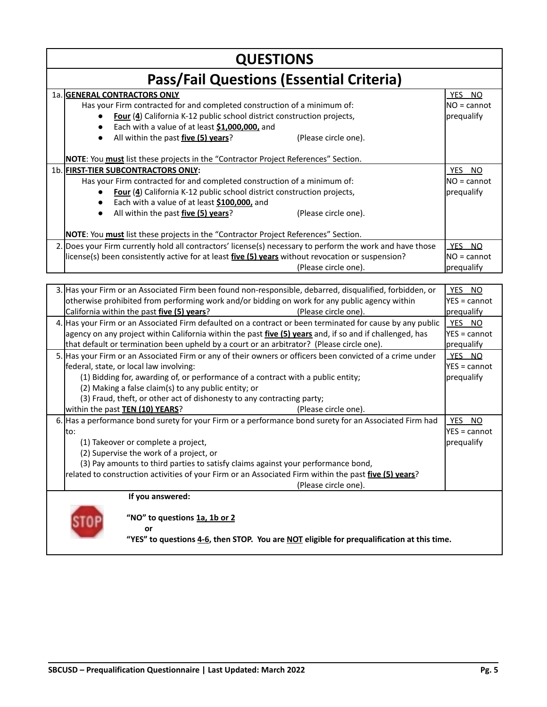| <b>QUESTIONS</b> |                                                                                                                                                                                                                                                                                                                                                                                                |                                       |  |  |
|------------------|------------------------------------------------------------------------------------------------------------------------------------------------------------------------------------------------------------------------------------------------------------------------------------------------------------------------------------------------------------------------------------------------|---------------------------------------|--|--|
|                  | <b>Pass/Fail Questions (Essential Criteria)</b>                                                                                                                                                                                                                                                                                                                                                |                                       |  |  |
|                  | 1a. GENERAL CONTRACTORS ONLY<br>Has your Firm contracted for and completed construction of a minimum of:<br>Four (4) California K-12 public school district construction projects,<br>Each with a value of at least \$1,000,000, and<br>All within the past five (5) years?<br>(Please circle one).<br>NOTE: You must list these projects in the "Contractor Project References" Section.      | YES NO<br>$NO = cannot$<br>prequalify |  |  |
|                  | 1b. FIRST-TIER SUBCONTRACTORS ONLY:<br>Has your Firm contracted for and completed construction of a minimum of:<br>Four (4) California K-12 public school district construction projects,<br>Each with a value of at least \$100,000, and<br>All within the past five (5) years?<br>(Please circle one).<br>NOTE: You must list these projects in the "Contractor Project References" Section. | YES NO<br>$NO = cannot$<br>prequalify |  |  |
|                  | 2. Does your Firm currently hold all contractors' license(s) necessary to perform the work and have those<br>license(s) been consistently active for at least five (5) years without revocation or suspension?<br>(Please circle one).                                                                                                                                                         | YES NO<br>$NO = cannot$<br>prequalify |  |  |
|                  | 3. Has your Firm or an Associated Firm been found non-responsible, debarred, disqualified, forbidden, or<br>otherwise prohibited from performing work and/or bidding on work for any public agency within<br>California within the past five (5) years?<br>(Please circle one).                                                                                                                | YES NO<br>YES = cannot<br>prequalify  |  |  |
|                  | 4. Has your Firm or an Associated Firm defaulted on a contract or been terminated for cause by any public<br>agency on any project within California within the past <i>five (5) years</i> and, if so and if challenged, has<br>that default or termination been upheld by a court or an arbitrator? (Please circle one).                                                                      | YES NO<br>YES = cannot<br>prequalify  |  |  |
|                  | 5. Has your Firm or an Associated Firm or any of their owners or officers been convicted of a crime under<br>"federal state or local law involving                                                                                                                                                                                                                                             | YES NO<br>$VFS = cannot$              |  |  |

| lfederal, state, or local law involving:                                                               | $YES = cannot$ |  |  |  |
|--------------------------------------------------------------------------------------------------------|----------------|--|--|--|
| (1) Bidding for, awarding of, or performance of a contract with a public entity;                       | prequalify     |  |  |  |
| (2) Making a false claim(s) to any public entity; or                                                   |                |  |  |  |
| (3) Fraud, theft, or other act of dishonesty to any contracting party;                                 |                |  |  |  |
| within the past <b>TEN (10) YEARS</b> ?<br>(Please circle one).                                        |                |  |  |  |
| 6. Has a performance bond surety for your Firm or a performance bond surety for an Associated Firm had | YES NO         |  |  |  |
| lto:                                                                                                   | IYES = cannot  |  |  |  |
| (1) Takeover or complete a project,<br><b>I</b> prequalify                                             |                |  |  |  |
| (2) Supervise the work of a project, or                                                                |                |  |  |  |
| (3) Pay amounts to third parties to satisfy claims against your performance bond,                      |                |  |  |  |
| related to construction activities of your Firm or an Associated Firm within the past five (5) years?  |                |  |  |  |
| (Please circle one).                                                                                   |                |  |  |  |
| If you answered:                                                                                       |                |  |  |  |
| "NO" to questions 1a, 1b or 2                                                                          |                |  |  |  |

**or**

**"YES" to questions 4-6, then STOP. You are NOT eligible for prequalification at this time.**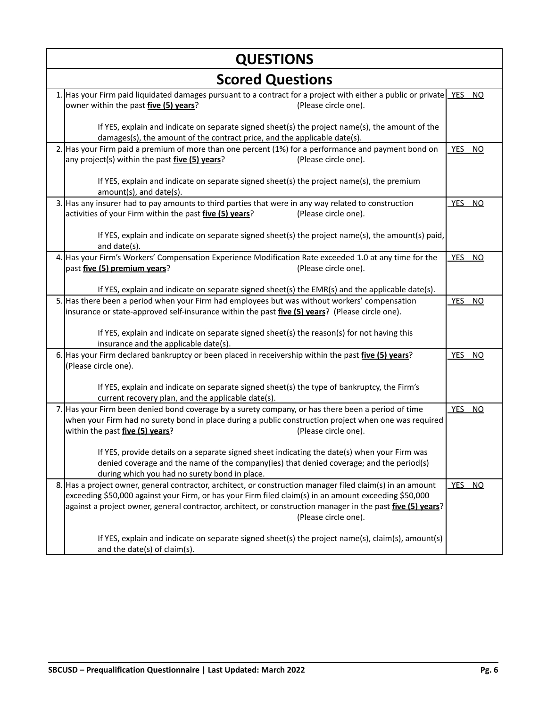| <b>QUESTIONS</b>                                                                                                                                                                                                                                                                                                                                                   |                         |  |  |  |  |
|--------------------------------------------------------------------------------------------------------------------------------------------------------------------------------------------------------------------------------------------------------------------------------------------------------------------------------------------------------------------|-------------------------|--|--|--|--|
| <b>Scored Questions</b>                                                                                                                                                                                                                                                                                                                                            |                         |  |  |  |  |
| 1. Has your Firm paid liquidated damages pursuant to a contract for a project with either a public or private YES NO<br>owner within the past five (5) years?<br>(Please circle one).                                                                                                                                                                              |                         |  |  |  |  |
| If YES, explain and indicate on separate signed sheet(s) the project name(s), the amount of the<br>damages(s), the amount of the contract price, and the applicable date(s).                                                                                                                                                                                       |                         |  |  |  |  |
| 2. Has your Firm paid a premium of more than one percent (1%) for a performance and payment bond on<br>any project(s) within the past <i>five (5) years</i> ?<br>(Please circle one).                                                                                                                                                                              | YES NO                  |  |  |  |  |
| If YES, explain and indicate on separate signed sheet(s) the project name(s), the premium<br>amount(s), and date(s).                                                                                                                                                                                                                                               |                         |  |  |  |  |
| 3. Has any insurer had to pay amounts to third parties that were in any way related to construction<br>activities of your Firm within the past <i>five (5) years</i> ?<br>(Please circle one).                                                                                                                                                                     | YES NO                  |  |  |  |  |
| If YES, explain and indicate on separate signed sheet(s) the project name(s), the amount(s) paid,<br>and date(s).                                                                                                                                                                                                                                                  |                         |  |  |  |  |
| 4. Has your Firm's Workers' Compensation Experience Modification Rate exceeded 1.0 at any time for the<br>past five (5) premium years?<br>(Please circle one).                                                                                                                                                                                                     | YES NO                  |  |  |  |  |
| If YES, explain and indicate on separate signed sheet(s) the EMR(s) and the applicable date(s).                                                                                                                                                                                                                                                                    |                         |  |  |  |  |
| 5. Has there been a period when your Firm had employees but was without workers' compensation<br>insurance or state-approved self-insurance within the past <i>five (5) years</i> ? (Please circle one).                                                                                                                                                           | YES NO                  |  |  |  |  |
| If YES, explain and indicate on separate signed sheet(s) the reason(s) for not having this<br>insurance and the applicable date(s).                                                                                                                                                                                                                                |                         |  |  |  |  |
| 6. Has your Firm declared bankruptcy or been placed in receivership within the past five (5) years?<br>(Please circle one).                                                                                                                                                                                                                                        | <b>YES</b><br><b>NO</b> |  |  |  |  |
| If YES, explain and indicate on separate signed sheet(s) the type of bankruptcy, the Firm's<br>current recovery plan, and the applicable date(s).                                                                                                                                                                                                                  |                         |  |  |  |  |
| 7. Has your Firm been denied bond coverage by a surety company, or has there been a period of time<br>when your Firm had no surety bond in place during a public construction project when one was required<br>within the past five (5) years?<br>(Please circle one).                                                                                             | YES NO                  |  |  |  |  |
| If YES, provide details on a separate signed sheet indicating the date(s) when your Firm was<br>denied coverage and the name of the company(ies) that denied coverage; and the period(s)<br>during which you had no surety bond in place.                                                                                                                          |                         |  |  |  |  |
| 8. Has a project owner, general contractor, architect, or construction manager filed claim(s) in an amount<br>exceeding \$50,000 against your Firm, or has your Firm filed claim(s) in an amount exceeding \$50,000<br>against a project owner, general contractor, architect, or construction manager in the past <i>five (5) years</i> ?<br>(Please circle one). | YES NO                  |  |  |  |  |
| If YES, explain and indicate on separate signed sheet(s) the project name(s), claim(s), amount(s)<br>and the date(s) of claim(s).                                                                                                                                                                                                                                  |                         |  |  |  |  |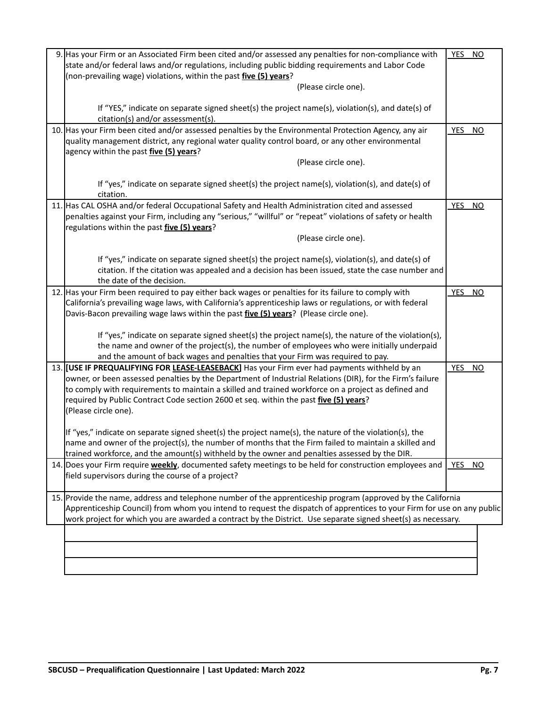| 9. Has your Firm or an Associated Firm been cited and/or assessed any penalties for non-compliance with                | YES NO     |    |
|------------------------------------------------------------------------------------------------------------------------|------------|----|
| state and/or federal laws and/or regulations, including public bidding requirements and Labor Code                     |            |    |
| (non-prevailing wage) violations, within the past five (5) years?                                                      |            |    |
| (Please circle one).                                                                                                   |            |    |
| If "YES," indicate on separate signed sheet(s) the project name(s), violation(s), and date(s) of                       |            |    |
| citation(s) and/or assessment(s).                                                                                      |            |    |
| 10. Has your Firm been cited and/or assessed penalties by the Environmental Protection Agency, any air                 | YES        | NO |
| quality management district, any regional water quality control board, or any other environmental                      |            |    |
| agency within the past <i>five</i> (5) years?                                                                          |            |    |
| (Please circle one).                                                                                                   |            |    |
| If "yes," indicate on separate signed sheet(s) the project name(s), violation(s), and date(s) of                       |            |    |
| citation.                                                                                                              |            |    |
| 11. Has CAL OSHA and/or federal Occupational Safety and Health Administration cited and assessed                       | YES NO     |    |
| penalties against your Firm, including any "serious," "willful" or "repeat" violations of safety or health             |            |    |
| regulations within the past five (5) years?                                                                            |            |    |
| (Please circle one).                                                                                                   |            |    |
| If "yes," indicate on separate signed sheet(s) the project name(s), violation(s), and date(s) of                       |            |    |
| citation. If the citation was appealed and a decision has been issued, state the case number and                       |            |    |
| the date of the decision.                                                                                              |            |    |
| 12. Has your Firm been required to pay either back wages or penalties for its failure to comply with                   | YES NO     |    |
| California's prevailing wage laws, with California's apprenticeship laws or regulations, or with federal               |            |    |
| Davis-Bacon prevailing wage laws within the past five (5) years? (Please circle one).                                  |            |    |
|                                                                                                                        |            |    |
| If "yes," indicate on separate signed sheet(s) the project name(s), the nature of the violation(s),                    |            |    |
| the name and owner of the project(s), the number of employees who were initially underpaid                             |            |    |
| and the amount of back wages and penalties that your Firm was required to pay.                                         |            |    |
| 13. [USE IF PREQUALIFYING FOR LEASE-LEASEBACK] Has your Firm ever had payments withheld by an                          | <b>YES</b> | NQ |
| owner, or been assessed penalties by the Department of Industrial Relations (DIR), for the Firm's failure              |            |    |
| to comply with requirements to maintain a skilled and trained workforce on a project as defined and                    |            |    |
| required by Public Contract Code section 2600 et seq. within the past five (5) years?                                  |            |    |
| (Please circle one).                                                                                                   |            |    |
| If "yes," indicate on separate signed sheet(s) the project name(s), the nature of the violation(s), the                |            |    |
| name and owner of the project(s), the number of months that the Firm failed to maintain a skilled and                  |            |    |
| trained workforce, and the amount(s) withheld by the owner and penalties assessed by the DIR.                          |            |    |
| 14. Does your Firm require <b>weekly</b> , documented safety meetings to be held for construction employees and        | YES        | NO |
| field supervisors during the course of a project?                                                                      |            |    |
|                                                                                                                        |            |    |
| 15. Provide the name, address and telephone number of the apprenticeship program (approved by the California           |            |    |
| Apprenticeship Council) from whom you intend to request the dispatch of apprentices to your Firm for use on any public |            |    |
| work project for which you are awarded a contract by the District. Use separate signed sheet(s) as necessary.          |            |    |
|                                                                                                                        |            |    |
|                                                                                                                        |            |    |
|                                                                                                                        |            |    |
|                                                                                                                        |            |    |
|                                                                                                                        |            |    |